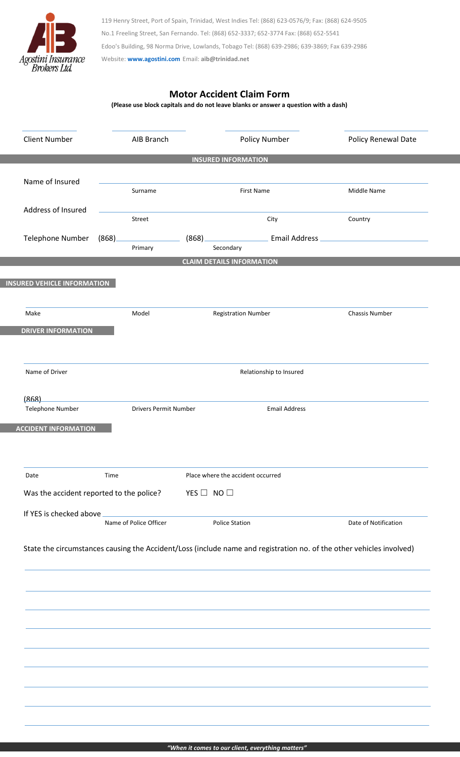

119 Henry Street, Port of Spain, Trinidad, West Indies Tel: (868) 623-0576/9; Fax: (868) 624-9505 No.1 Freeling Street, San Fernando. Tel: (868) 652-3337; 652-3774 Fax: (868) 652-5541 Edoo's Building, 98 Norma Drive, Lowlands, Tobago Tel: (868) 639-2986; 639-3869; Fax 639-2986 Website: **[www.agostini.com](http://www.agostini.com/)** Email: **aib@trinidad.net**

## **Motor Accident Claim Form**

**(Please use block capitals and do not leave blanks or answer a question with a dash)**

|                                          | <b>Client Number</b>               |         | AIB Branch                   |                      |                                   | Policy Number        | Policy Renewal Date                                                                                                  |  |
|------------------------------------------|------------------------------------|---------|------------------------------|----------------------|-----------------------------------|----------------------|----------------------------------------------------------------------------------------------------------------------|--|
|                                          |                                    |         |                              |                      | <b>INSURED INFORMATION</b>        |                      |                                                                                                                      |  |
|                                          |                                    |         |                              |                      |                                   |                      |                                                                                                                      |  |
|                                          | Name of Insured                    | Surname |                              |                      | First Name                        |                      | Middle Name                                                                                                          |  |
|                                          | Address of Insured<br>Street       |         |                              | City                 |                                   |                      | Country                                                                                                              |  |
|                                          | Telephone Number                   | (868)   | Primary                      | (868)                | Secondary                         | Email Address        |                                                                                                                      |  |
|                                          |                                    |         |                              |                      | <b>CLAIM DETAILS INFORMATION</b>  |                      |                                                                                                                      |  |
|                                          | <b>INSURED VEHICLE INFORMATION</b> |         |                              |                      |                                   |                      |                                                                                                                      |  |
|                                          |                                    |         |                              |                      |                                   |                      |                                                                                                                      |  |
|                                          | Make                               |         | Model                        |                      | <b>Registration Number</b>        |                      | Chassis Number                                                                                                       |  |
|                                          | <b>DRIVER INFORMATION</b>          |         |                              |                      |                                   |                      |                                                                                                                      |  |
|                                          |                                    |         |                              |                      |                                   |                      |                                                                                                                      |  |
|                                          | Name of Driver                     |         |                              |                      | Relationship to Insured           |                      |                                                                                                                      |  |
|                                          | (868)                              |         |                              |                      |                                   |                      |                                                                                                                      |  |
|                                          | Telephone Number                   |         | <b>Drivers Permit Number</b> |                      |                                   | <b>Email Address</b> |                                                                                                                      |  |
|                                          | <b>ACCIDENT INFORMATION</b>        |         |                              |                      |                                   |                      |                                                                                                                      |  |
|                                          |                                    |         |                              |                      |                                   |                      |                                                                                                                      |  |
|                                          | Date                               | Time    |                              |                      | Place where the accident occurred |                      |                                                                                                                      |  |
| Was the accident reported to the police? |                                    |         |                              | YES $\Box$ NO $\Box$ |                                   |                      |                                                                                                                      |  |
|                                          | If YES is checked above            |         |                              |                      |                                   |                      |                                                                                                                      |  |
|                                          |                                    |         | Name of Police Officer       |                      | <b>Police Station</b>             |                      | Date of Notification                                                                                                 |  |
|                                          |                                    |         |                              |                      |                                   |                      | State the circumstances causing the Accident/Loss (include name and registration no. of the other vehicles involved) |  |
|                                          |                                    |         |                              |                      |                                   |                      |                                                                                                                      |  |
|                                          |                                    |         |                              |                      |                                   |                      |                                                                                                                      |  |
|                                          |                                    |         |                              |                      |                                   |                      |                                                                                                                      |  |
|                                          |                                    |         |                              |                      |                                   |                      |                                                                                                                      |  |
|                                          |                                    |         |                              |                      |                                   |                      |                                                                                                                      |  |
|                                          |                                    |         |                              |                      |                                   |                      |                                                                                                                      |  |
|                                          |                                    |         |                              |                      |                                   |                      |                                                                                                                      |  |
|                                          |                                    |         |                              |                      |                                   |                      |                                                                                                                      |  |
|                                          |                                    |         |                              |                      |                                   |                      |                                                                                                                      |  |
|                                          |                                    |         |                              |                      |                                   |                      |                                                                                                                      |  |